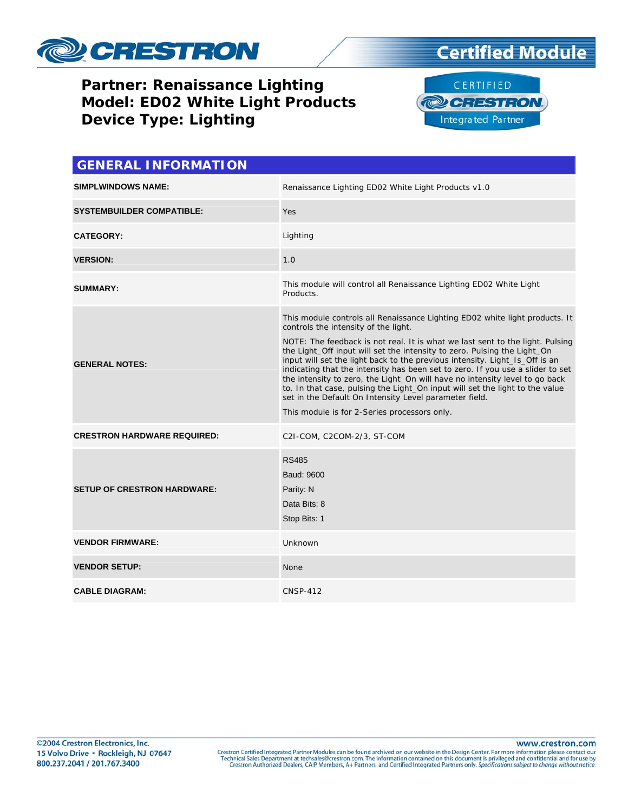

# **Certified Module**

#### **Partner: Renaissance Lighting** Model: ED02 White Light Products **Device Type: Lighting**



| <b>GENERAL INFORMATION</b>         |                                                                                                                                                                                                                                                                                                                                                                                                                                                                                                                                                                                                                                                                                                                            |  |
|------------------------------------|----------------------------------------------------------------------------------------------------------------------------------------------------------------------------------------------------------------------------------------------------------------------------------------------------------------------------------------------------------------------------------------------------------------------------------------------------------------------------------------------------------------------------------------------------------------------------------------------------------------------------------------------------------------------------------------------------------------------------|--|
| <b>SIMPLWINDOWS NAME:</b>          | Renaissance Lighting ED02 White Light Products v1.0                                                                                                                                                                                                                                                                                                                                                                                                                                                                                                                                                                                                                                                                        |  |
| <b>SYSTEMBUILDER COMPATIBLE:</b>   | Yes                                                                                                                                                                                                                                                                                                                                                                                                                                                                                                                                                                                                                                                                                                                        |  |
| <b>CATEGORY:</b>                   | Lighting                                                                                                                                                                                                                                                                                                                                                                                                                                                                                                                                                                                                                                                                                                                   |  |
| <b>VERSION:</b>                    | 1.0                                                                                                                                                                                                                                                                                                                                                                                                                                                                                                                                                                                                                                                                                                                        |  |
| <b>SUMMARY:</b>                    | This module will control all Renaissance Lighting ED02 White Light<br>Products.                                                                                                                                                                                                                                                                                                                                                                                                                                                                                                                                                                                                                                            |  |
| <b>GENERAL NOTES:</b>              | This module controls all Renaissance Lighting ED02 white light products. It<br>controls the intensity of the light.<br>NOTE: The feedback is not real. It is what we last sent to the light. Pulsing<br>the Light_Off input will set the intensity to zero. Pulsing the Light_On<br>input will set the light back to the previous intensity. Light_Is_Off is an<br>indicating that the intensity has been set to zero. If you use a slider to set<br>the intensity to zero, the Light_On will have no intensity level to go back<br>to. In that case, pulsing the Light_On input will set the light to the value<br>set in the Default On Intensity Level parameter field.<br>This module is for 2-Series processors only. |  |
| <b>CRESTRON HARDWARE REQUIRED:</b> | C2I-COM, C2COM-2/3, ST-COM                                                                                                                                                                                                                                                                                                                                                                                                                                                                                                                                                                                                                                                                                                 |  |
| <b>SETUP OF CRESTRON HARDWARE:</b> | <b>RS485</b><br>Baud: 9600<br>Parity: N<br>Data Bits: 8<br>Stop Bits: 1                                                                                                                                                                                                                                                                                                                                                                                                                                                                                                                                                                                                                                                    |  |
| <b>VENDOR FIRMWARE:</b>            | Unknown                                                                                                                                                                                                                                                                                                                                                                                                                                                                                                                                                                                                                                                                                                                    |  |
| <b>VENDOR SETUP:</b>               | <b>None</b>                                                                                                                                                                                                                                                                                                                                                                                                                                                                                                                                                                                                                                                                                                                |  |
| <b>CABLE DIAGRAM:</b>              | <b>CNSP-412</b>                                                                                                                                                                                                                                                                                                                                                                                                                                                                                                                                                                                                                                                                                                            |  |

www.crestron.com

Crestron Certified Integrated Partner Modules can be found archived on our website in the Design Center. For more information please contact our Technical Sales Department at techsales@crestron.com. The information contain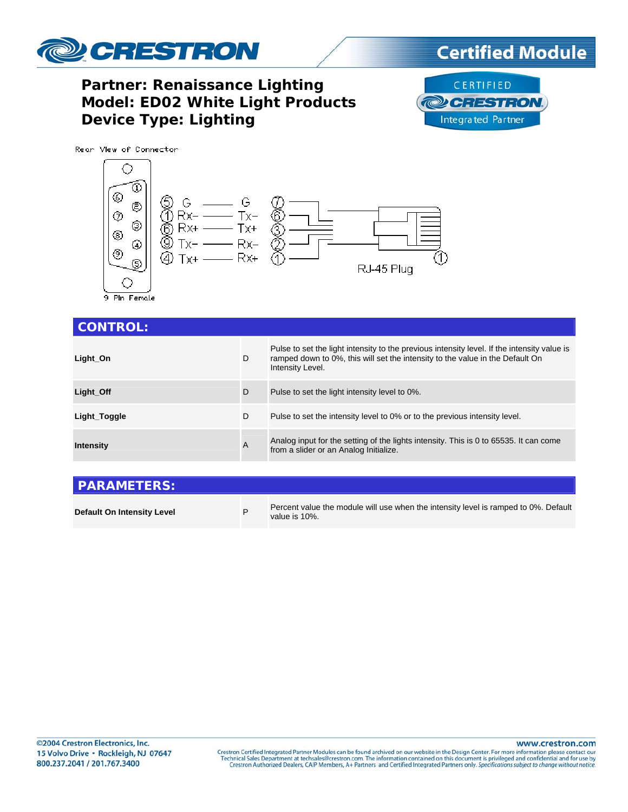

### **Certified Module**

### **Partner: Renaissance Lighting** Model: ED02 White Light Products **Device Type: Lighting**





9 Pln Female

| <b>CONTROL:</b>  |   |                                                                                                                                                                                                  |
|------------------|---|--------------------------------------------------------------------------------------------------------------------------------------------------------------------------------------------------|
| Light_On         | D | Pulse to set the light intensity to the previous intensity level. If the intensity value is<br>ramped down to 0%, this will set the intensity to the value in the Default On<br>Intensity Level. |
| Light Off        | D | Pulse to set the light intensity level to 0%.                                                                                                                                                    |
| Light_Toggle     | D | Pulse to set the intensity level to 0% or to the previous intensity level.                                                                                                                       |
| <b>Intensity</b> | A | Analog input for the setting of the lights intensity. This is 0 to 65535. It can come<br>from a slider or an Analog Initialize.                                                                  |
|                  |   |                                                                                                                                                                                                  |

| <b>PARAMETERS:</b>         |                                                                                                      |
|----------------------------|------------------------------------------------------------------------------------------------------|
| Default On Intensity Level | Percent value the module will use when the intensity level is ramped to 0%. Default<br>value is 10%. |

www.crestron.com

Crestron Certified Integrated Partner Modules can be found archived on our website in the Design Center. For more information please contact our Technical Sales Department at techsales@crestron.com. The information contain